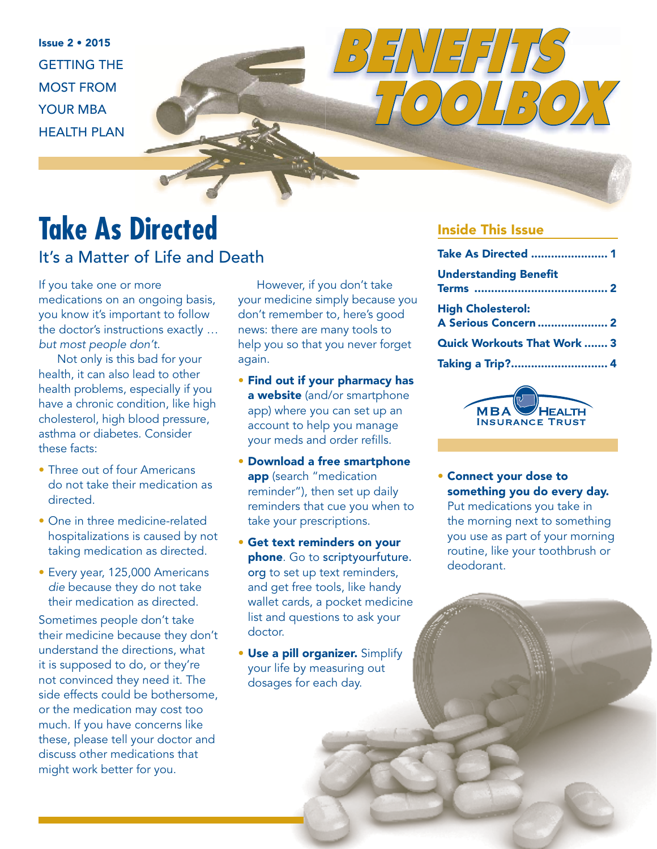Issue 2 • 2015 GETTING THE MOST FROM YOUR MBA HEALTH PLAN

# **Take As Directed**

### It's a Matter of Life and Death

If you take one or more medications on an ongoing basis, you know it's important to follow the doctor's instructions exactly … but most people don't.

Not only is this bad for your health, it can also lead to other health problems, especially if you have a chronic condition, like high cholesterol, high blood pressure, asthma or diabetes. Consider these facts:

- Three out of four Americans do not take their medication as directed.
- One in three medicine-related hospitalizations is caused by not taking medication as directed.
- Every year, 125,000 Americans die because they do not take their medication as directed.

Sometimes people don't take their medicine because they don't understand the directions, what it is supposed to do, or they're not convinced they need it. The side effects could be bothersome, or the medication may cost too much. If you have concerns like these, please tell your doctor and discuss other medications that might work better for you.

However, if you don't take your medicine simply because you don't remember to, here's good news: there are many tools to help you so that you never forget again.

- Find out if your pharmacy has a website (and/or smartphone app) where you can set up an account to help you manage your meds and order refills.
- Download a free smartphone app (search "medication reminder"), then set up daily reminders that cue you when to take your prescriptions.
- Get text reminders on your phone. Go to scriptyourfuture. org to set up text reminders, and get free tools, like handy wallet cards, a pocket medicine list and questions to ask your doctor.
- Use a pill organizer. Simplify your life by measuring out dosages for each day.

#### Inside This Issue

*BENEFITS* 

| <b>Take As Directed  1</b>                              |  |
|---------------------------------------------------------|--|
| <b>Understanding Benefit</b>                            |  |
| <b>High Cholesterol:</b><br><b>A Serious Concern  2</b> |  |
| <b>Quick Workouts That Work  3</b>                      |  |
| Taking a Trip? 4                                        |  |
|                                                         |  |

 *TOOLBOX*



• Connect your dose to something you do every day. Put medications you take in the morning next to something you use as part of your morning routine, like your toothbrush or deodorant.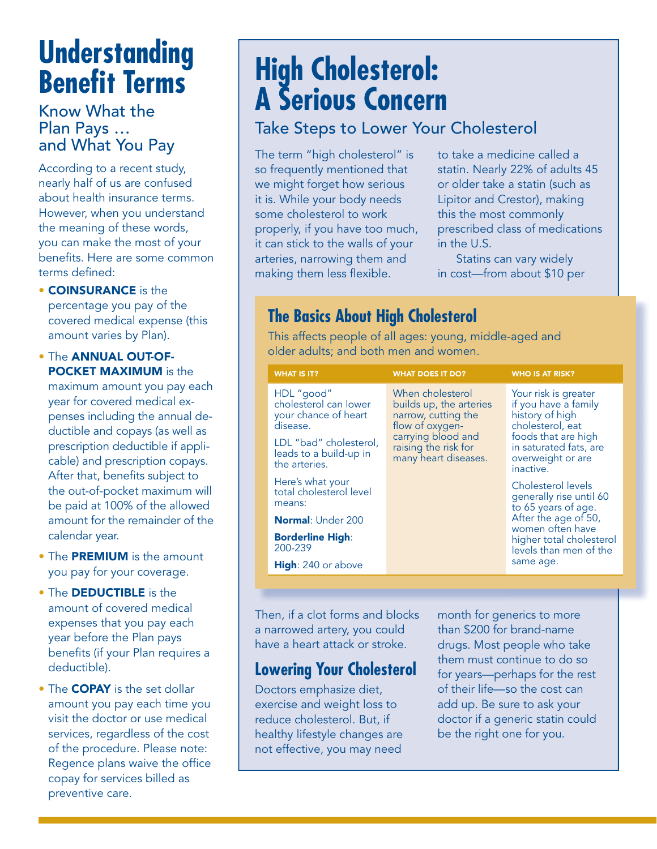## **Understanding Benefit Terms**

#### Know What the Plan Pays … and What You Pay

According to a recent study, nearly half of us are confused about health insurance terms. However, when you understand the meaning of these words, you can make the most of your benefits. Here are some common terms defined:

• COINSURANCE is the percentage you pay of the covered medical expense (this amount varies by Plan).

• The ANNUAL OUT-OF-POCKET MAXIMUM is the maximum amount you pay each year for covered medical expenses including the annual deductible and copays (as well as prescription deductible if applicable) and prescription copays. After that, benefits subject to the out-of-pocket maximum will be paid at 100% of the allowed amount for the remainder of the calendar year.

- The PREMIUM is the amount you pay for your coverage.
- The **DEDUCTIBLE** is the amount of covered medical expenses that you pay each year before the Plan pays benefits (if your Plan requires a deductible).
- The **COPAY** is the set dollar amount you pay each time you visit the doctor or use medical services, regardless of the cost of the procedure. Please note: Regence plans waive the office copay for services billed as preventive care.

## **High Cholesterol: A Serious Concern**

## Take Steps to Lower Your Cholesterol

The term "high cholesterol" is so frequently mentioned that we might forget how serious it is. While your body needs some cholesterol to work properly, if you have too much, it can stick to the walls of your arteries, narrowing them and making them less flexible.

to take a medicine called a statin. Nearly 22% of adults 45 or older take a statin (such as Lipitor and Crestor), making this the most commonly prescribed class of medications in the U.S.

Statins can vary widely in cost—from about \$10 per

## **The Basics About High Cholesterol**

This affects people of all ages: young, middle-aged and older adults; and both men and women.

| <b>WHAT IS IT?</b>                                                      | <b>WHAT DOES IT DO?</b>                                                                                                                                     | <b>WHO IS AT RISK?</b>                                                                                     |
|-------------------------------------------------------------------------|-------------------------------------------------------------------------------------------------------------------------------------------------------------|------------------------------------------------------------------------------------------------------------|
| HDL "good"<br>cholesterol can lower<br>your chance of heart<br>disease. | When cholesterol<br>builds up, the arteries<br>narrow, cutting the<br>flow of oxygen-<br>carrying blood and<br>raising the risk for<br>many heart diseases. | Your risk is greater<br>if you have a family<br>history of high<br>cholesterol, eat<br>foods that are high |
| LDL "bad" cholesterol,<br>leads to a build-up in<br>the arteries.       |                                                                                                                                                             | in saturated fats, are<br>overweight or are<br>inactive.                                                   |
| Here's what your<br>total cholesterol level<br>means:                   |                                                                                                                                                             | Cholesterol levels<br>generally rise until 60<br>to 65 years of age.                                       |
| <b>Normal: Under 200</b>                                                |                                                                                                                                                             | After the age of 50,<br>women often have                                                                   |
| <b>Borderline High:</b><br>200-239                                      |                                                                                                                                                             | higher total cholesterol<br>levels than men of the                                                         |
| <b>High:</b> 240 or above                                               |                                                                                                                                                             | same age.                                                                                                  |

Then, if a clot forms and blocks a narrowed artery, you could have a heart attack or stroke.

### **Lowering Your Cholesterol**

Doctors emphasize diet, exercise and weight loss to reduce cholesterol. But, if healthy lifestyle changes are not effective, you may need

month for generics to more than \$200 for brand-name drugs. Most people who take them must continue to do so for years—perhaps for the rest of their life—so the cost can add up. Be sure to ask your doctor if a generic statin could be the right one for you.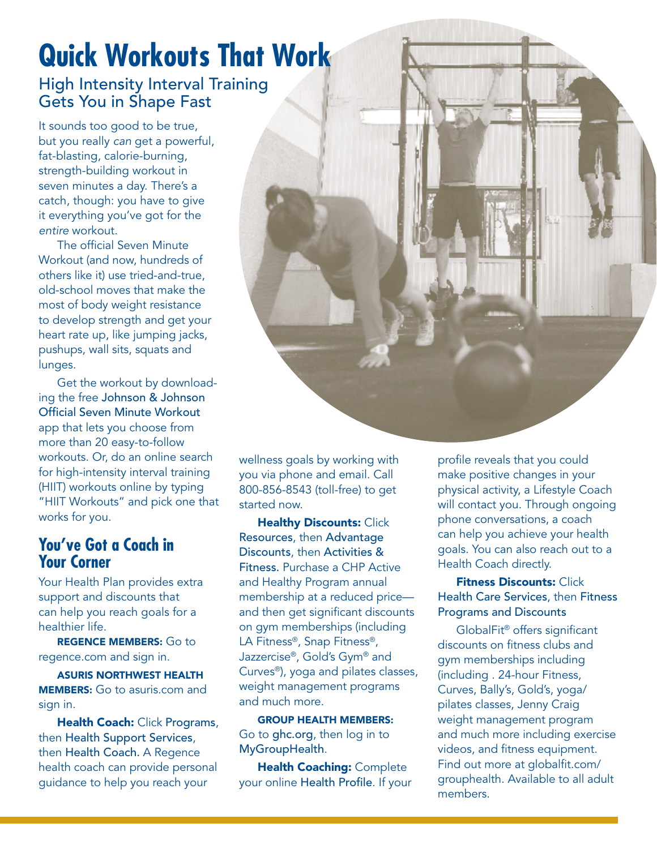# **Quick Workouts That Work**

#### High Intensity Interval Training Gets You in Shape Fast

It sounds too good to be true, but you really can get a powerful, fat-blasting, calorie-burning, strength-building workout in seven minutes a day. There's a catch, though: you have to give it everything you've got for the entire workout.

The official Seven Minute Workout (and now, hundreds of others like it) use tried-and-true, old-school moves that make the most of body weight resistance to develop strength and get your heart rate up, like jumping jacks, pushups, wall sits, squats and lunges.

Get the workout by downloading the free Johnson & Johnson Official Seven Minute Workout app that lets you choose from more than 20 easy-to-follow workouts. Or, do an online search for high-intensity interval training (HIIT) workouts online by typing "HIIT Workouts" and pick one that works for you.

#### **You've Got a Coach in Your Corner**

Your Health Plan provides extra support and discounts that can help you reach goals for a healthier life.

REGENCE MEMBERS: Go to regence.com and sign in.

ASURIS NORTHWEST HEALTH MEMBERS: Go to asuris.com and sign in.

Health Coach: Click Programs, then Health Support Services, then Health Coach. A Regence health coach can provide personal guidance to help you reach your



wellness goals by working with you via phone and email. Call 800-856-8543 (toll-free) to get started now.

**Healthy Discounts: Click** Resources, then Advantage Discounts, then Activities & Fitness. Purchase a CHP Active and Healthy Program annual membership at a reduced price and then get significant discounts on gym memberships (including LA Fitness®, Snap Fitness®, Jazzercise®, Gold's Gym® and Curves®), yoga and pilates classes, weight management programs and much more.

GROUP HEALTH MEMBERS: Go to ghc.org, then log in to MyGroupHealth.

**Health Coaching: Complete** your online Health Profile. If your profile reveals that you could make positive changes in your physical activity, a Lifestyle Coach will contact you. Through ongoing phone conversations, a coach can help you achieve your health goals. You can also reach out to a Health Coach directly.

#### **Fitness Discounts: Click** Health Care Services, then Fitness Programs and Discounts

GlobalFit® offers significant discounts on fitness clubs and gym memberships including (including . 24-hour Fitness, Curves, Bally's, Gold's, yoga/ pilates classes, Jenny Craig weight management program and much more including exercise videos, and fitness equipment. Find out more at globalfit.com/ grouphealth. Available to all adult members.